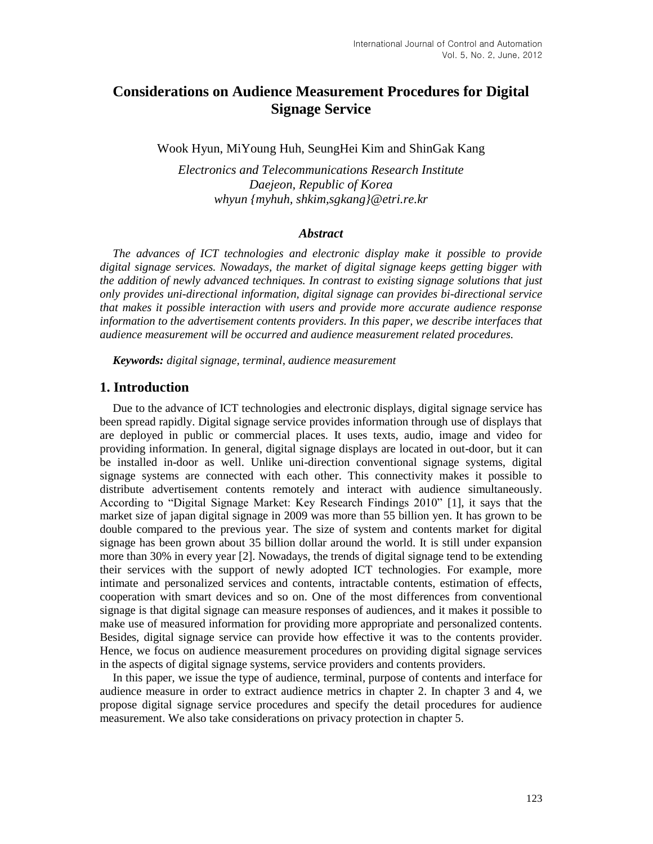# **Considerations on Audience Measurement Procedures for Digital Signage Service**

Wook Hyun, MiYoung Huh, SeungHei Kim and ShinGak Kang

*Electronics and Telecommunications Research Institute Daejeon, Republic of Korea whyun {myhuh, shkim,sgkang}@etri.re.kr*

#### *Abstract*

*The advances of ICT technologies and electronic display make it possible to provide digital signage services. Nowadays, the market of digital signage keeps getting bigger with the addition of newly advanced techniques. In contrast to existing signage solutions that just only provides uni-directional information, digital signage can provides bi-directional service that makes it possible interaction with users and provide more accurate audience response information to the advertisement contents providers. In this paper, we describe interfaces that audience measurement will be occurred and audience measurement related procedures.*

*Keywords: digital signage, terminal, audience measurement*

#### **1. Introduction**

Due to the advance of ICT technologies and electronic displays, digital signage service has been spread rapidly. Digital signage service provides information through use of displays that are deployed in public or commercial places. It uses texts, audio, image and video for providing information. In general, digital signage displays are located in out-door, but it can be installed in-door as well. Unlike uni-direction conventional signage systems, digital signage systems are connected with each other. This connectivity makes it possible to distribute advertisement contents remotely and interact with audience simultaneously. According to "Digital Signage Market: Key Research Findings 2010" [1], it says that the market size of japan digital signage in 2009 was more than 55 billion yen. It has grown to be double compared to the previous year. The size of system and contents market for digital signage has been grown about 35 billion dollar around the world. It is still under expansion more than 30% in every year [2]. Nowadays, the trends of digital signage tend to be extending their services with the support of newly adopted ICT technologies. For example, more intimate and personalized services and contents, intractable contents, estimation of effects, cooperation with smart devices and so on. One of the most differences from conventional signage is that digital signage can measure responses of audiences, and it makes it possible to make use of measured information for providing more appropriate and personalized contents. Besides, digital signage service can provide how effective it was to the contents provider. Hence, we focus on audience measurement procedures on providing digital signage services in the aspects of digital signage systems, service providers and contents providers.

In this paper, we issue the type of audience, terminal, purpose of contents and interface for audience measure in order to extract audience metrics in chapter 2. In chapter 3 and 4, we propose digital signage service procedures and specify the detail procedures for audience measurement. We also take considerations on privacy protection in chapter 5.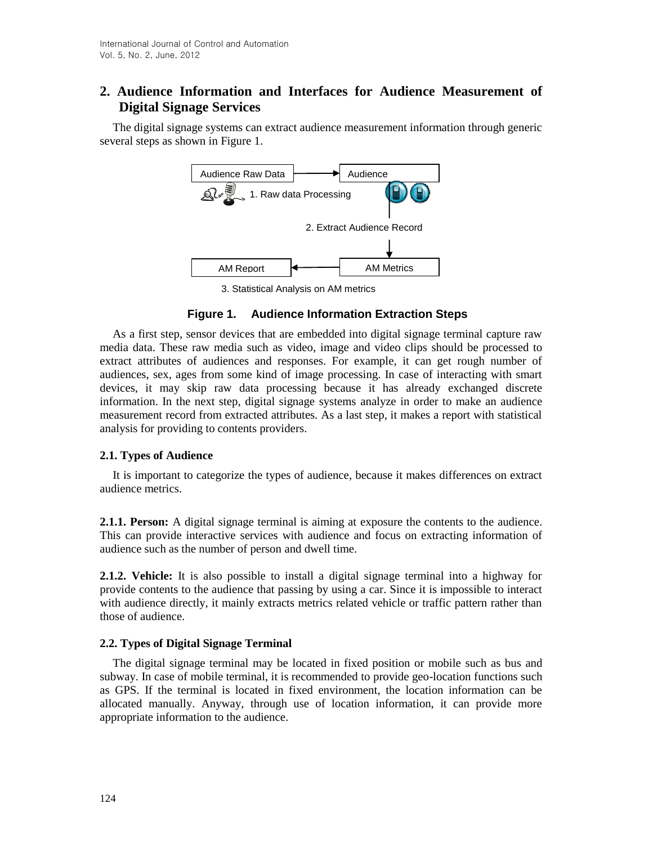# **2. Audience Information and Interfaces for Audience Measurement of Digital Signage Services**

The digital signage systems can extract audience measurement information through generic several steps as shown in Figure 1.



3. Statistical Analysis on AM metrics

# **Figure 1. Audience Information Extraction Steps**

As a first step, sensor devices that are embedded into digital signage terminal capture raw media data. These raw media such as video, image and video clips should be processed to extract attributes of audiences and responses. For example, it can get rough number of audiences, sex, ages from some kind of image processing. In case of interacting with smart devices, it may skip raw data processing because it has already exchanged discrete information. In the next step, digital signage systems analyze in order to make an audience measurement record from extracted attributes. As a last step, it makes a report with statistical analysis for providing to contents providers.

## **2.1. Types of Audience**

It is important to categorize the types of audience, because it makes differences on extract audience metrics.

**2.1.1. Person:** A digital signage terminal is aiming at exposure the contents to the audience. This can provide interactive services with audience and focus on extracting information of audience such as the number of person and dwell time.

**2.1.2. Vehicle:** It is also possible to install a digital signage terminal into a highway for provide contents to the audience that passing by using a car. Since it is impossible to interact with audience directly, it mainly extracts metrics related vehicle or traffic pattern rather than those of audience.

## **2.2. Types of Digital Signage Terminal**

The digital signage terminal may be located in fixed position or mobile such as bus and subway. In case of mobile terminal, it is recommended to provide geo-location functions such as GPS. If the terminal is located in fixed environment, the location information can be allocated manually. Anyway, through use of location information, it can provide more appropriate information to the audience.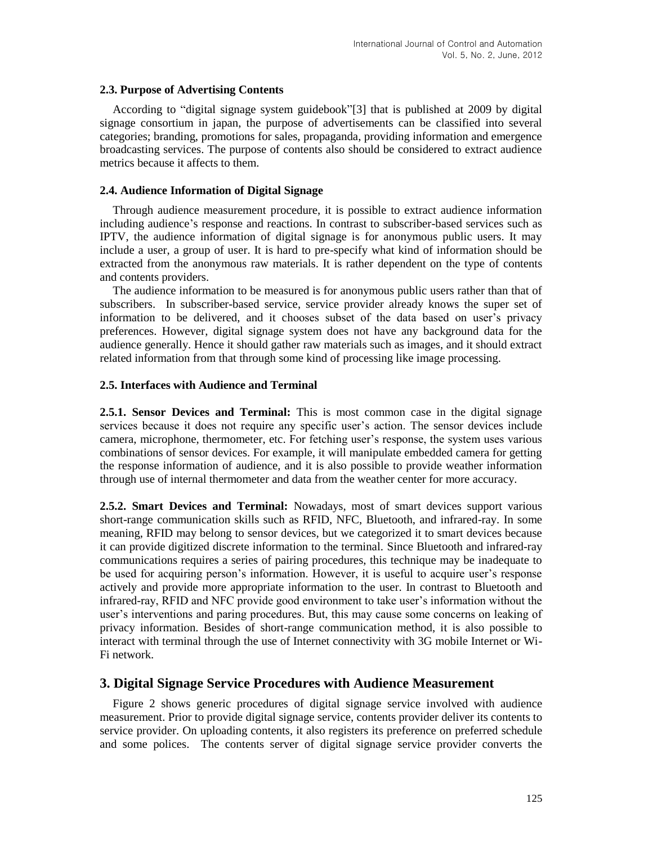#### **2.3. Purpose of Advertising Contents**

According to "digital signage system guidebook"[3] that is published at 2009 by digital signage consortium in japan, the purpose of advertisements can be classified into several categories; branding, promotions for sales, propaganda, providing information and emergence broadcasting services. The purpose of contents also should be considered to extract audience metrics because it affects to them.

#### **2.4. Audience Information of Digital Signage**

Through audience measurement procedure, it is possible to extract audience information including audience's response and reactions. In contrast to subscriber-based services such as IPTV, the audience information of digital signage is for anonymous public users. It may include a user, a group of user. It is hard to pre-specify what kind of information should be extracted from the anonymous raw materials. It is rather dependent on the type of contents and contents providers.

The audience information to be measured is for anonymous public users rather than that of subscribers. In subscriber-based service, service provider already knows the super set of information to be delivered, and it chooses subset of the data based on user's privacy preferences. However, digital signage system does not have any background data for the audience generally. Hence it should gather raw materials such as images, and it should extract related information from that through some kind of processing like image processing.

#### **2.5. Interfaces with Audience and Terminal**

**2.5.1. Sensor Devices and Terminal:** This is most common case in the digital signage services because it does not require any specific user's action. The sensor devices include camera, microphone, thermometer, etc. For fetching user's response, the system uses various combinations of sensor devices. For example, it will manipulate embedded camera for getting the response information of audience, and it is also possible to provide weather information through use of internal thermometer and data from the weather center for more accuracy.

**2.5.2. Smart Devices and Terminal:** Nowadays, most of smart devices support various short-range communication skills such as RFID, NFC, Bluetooth, and infrared-ray. In some meaning, RFID may belong to sensor devices, but we categorized it to smart devices because it can provide digitized discrete information to the terminal. Since Bluetooth and infrared-ray communications requires a series of pairing procedures, this technique may be inadequate to be used for acquiring person's information. However, it is useful to acquire user's response actively and provide more appropriate information to the user. In contrast to Bluetooth and infrared-ray, RFID and NFC provide good environment to take user's information without the user's interventions and paring procedures. But, this may cause some concerns on leaking of privacy information. Besides of short-range communication method, it is also possible to interact with terminal through the use of Internet connectivity with 3G mobile Internet or Wi-Fi network.

## **3. Digital Signage Service Procedures with Audience Measurement**

Figure 2 shows generic procedures of digital signage service involved with audience measurement. Prior to provide digital signage service, contents provider deliver its contents to service provider. On uploading contents, it also registers its preference on preferred schedule and some polices. The contents server of digital signage service provider converts the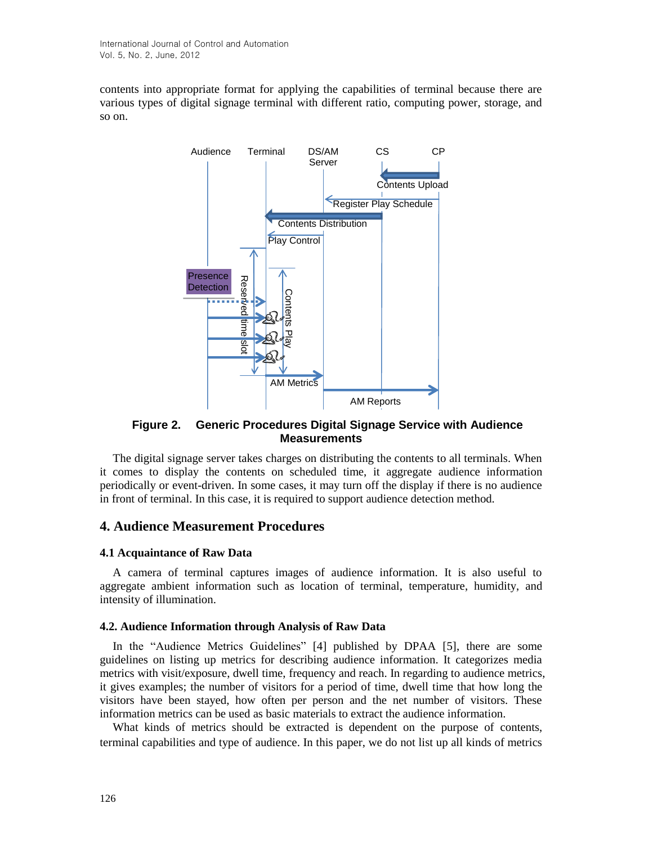contents into appropriate format for applying the capabilities of terminal because there are various types of digital signage terminal with different ratio, computing power, storage, and so on.



# **Figure 2. Generic Procedures Digital Signage Service with Audience Measurements**

The digital signage server takes charges on distributing the contents to all terminals. When it comes to display the contents on scheduled time, it aggregate audience information periodically or event-driven. In some cases, it may turn off the display if there is no audience in front of terminal. In this case, it is required to support audience detection method.

# **4. Audience Measurement Procedures**

## **4.1 Acquaintance of Raw Data**

A camera of terminal captures images of audience information. It is also useful to aggregate ambient information such as location of terminal, temperature, humidity, and [intensity](javascript:endicAutoLink() [of](javascript:endicAutoLink() [illumination.](javascript:endicAutoLink()

## **4.2. Audience Information through Analysis of Raw Data**

In the "Audience Metrics Guidelines" [4] published by DPAA [5], there are some guidelines on listing up metrics for describing audience information. It categorizes media metrics with visit/exposure, dwell time, frequency and reach. In regarding to audience metrics, it gives examples; the number of visitors for a period of time, dwell time that how long the visitors have been stayed, how often per person and the net number of visitors. These information metrics can be used as basic materials to extract the audience information.

What kinds of metrics should be extracted is dependent on the purpose of contents, terminal capabilities and type of audience. In this paper, we do not list up all kinds of metrics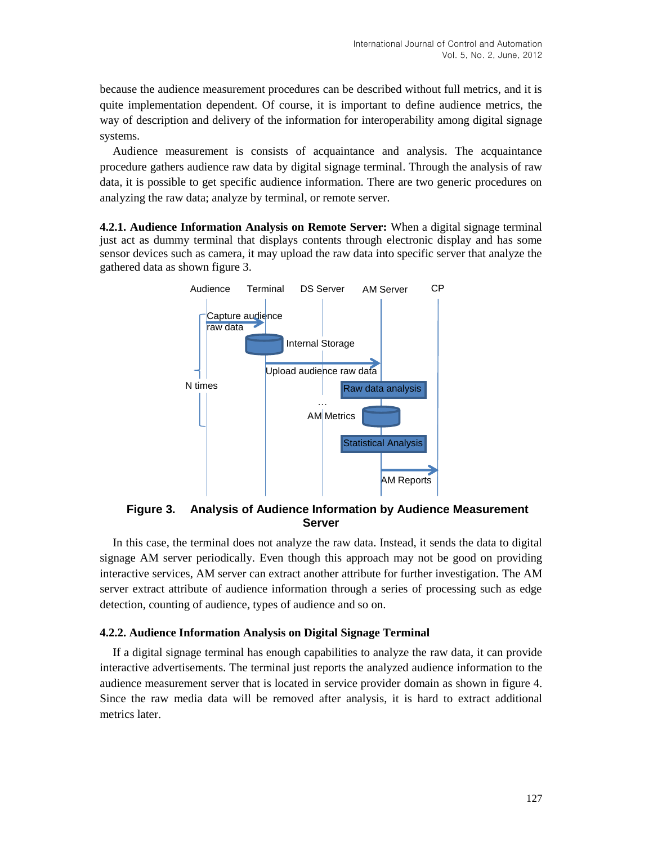because the audience measurement procedures can be described without full metrics, and it is quite implementation dependent. Of course, it is important to define audience metrics, the way of description and delivery of the information for interoperability among digital signage systems.

Audience measurement is consists of acquaintance and analysis. The acquaintance procedure gathers audience raw data by digital signage terminal. Through the analysis of raw data, it is possible to get specific audience information. There are two generic procedures on analyzing the raw data; analyze by terminal, or remote server.

**4.2.1. Audience Information Analysis on Remote Server:** When a digital signage terminal just act as dummy terminal that displays contents through electronic display and has some sensor devices such as camera, it may upload the raw data into specific server that analyze the gathered data as shown figure 3.



**Figure 3. Analysis of Audience Information by Audience Measurement Server**

In this case, the terminal does not analyze the raw data. Instead, it sends the data to digital signage AM server periodically. Even though this approach may not be good on providing interactive services, AM server can extract another attribute for further investigation. The AM server extract attribute of audience information through a series of processing such as edge detection, counting of audience, types of audience and so on.

#### **4.2.2. Audience Information Analysis on Digital Signage Terminal**

If a digital signage terminal has enough capabilities to analyze the raw data, it can provide interactive advertisements. The terminal just reports the analyzed audience information to the audience measurement server that is located in service provider domain as shown in figure 4. Since the raw media data will be removed after analysis, it is hard to extract additional metrics later.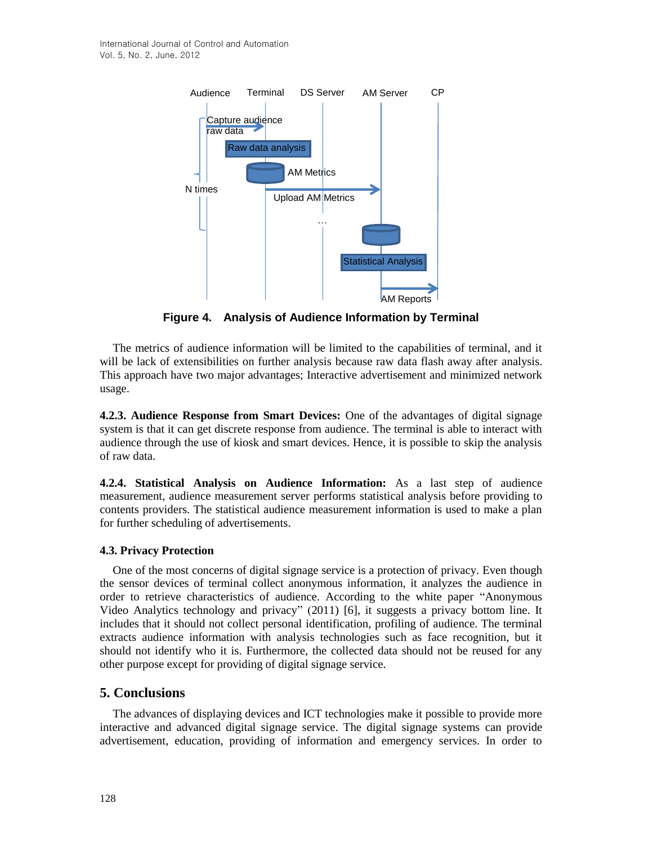

**Figure 4. Analysis of Audience Information by Terminal**

The metrics of audience information will be limited to the capabilities of terminal, and it will be lack of extensibilities on further analysis because raw data flash away after analysis. This approach have two major advantages; Interactive advertisement and minimized network usage.

**4.2.3. Audience Response from Smart Devices:** One of the advantages of digital signage system is that it can get discrete response from audience. The terminal is able to interact with audience through the use of kiosk and smart devices. Hence, it is possible to skip the analysis of raw data.

**4.2.4. Statistical Analysis on Audience Information:** As a last step of audience measurement, audience measurement server performs statistical analysis before providing to contents providers. The statistical audience measurement information is used to make a plan for further scheduling of advertisements.

## **4.3. Privacy Protection**

One of the most concerns of digital signage service is a protection of privacy. Even though the sensor devices of terminal collect anonymous information, it analyzes the audience in order to retrieve characteristics of audience. According to the white paper "Anonymous Video Analytics technology and privacy" (2011) [6], it suggests a privacy bottom line. It includes that it should not collect personal identification, profiling of audience. The terminal extracts audience information with analysis technologies such as face recognition, but it should not identify who it is. Furthermore, the collected data should not be reused for any other purpose except for providing of digital signage service.

# **5. Conclusions**

The advances of displaying devices and ICT technologies make it possible to provide more interactive and advanced digital signage service. The digital signage systems can provide advertisement, education, providing of information and emergency services. In order to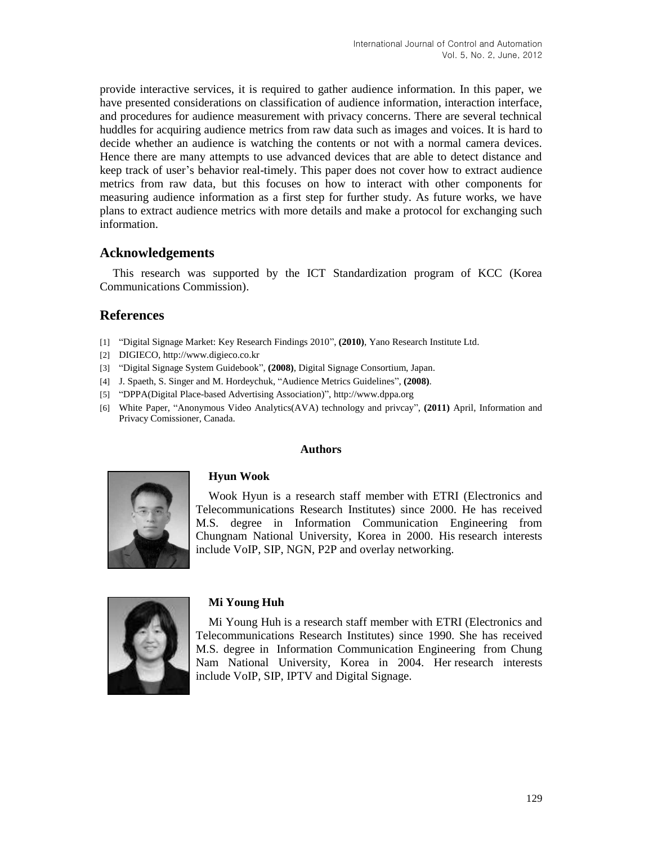provide interactive services, it is required to gather audience information. In this paper, we have presented considerations on classification of audience information, interaction interface, and procedures for audience measurement with privacy concerns. There are several technical huddles for acquiring audience metrics from raw data such as images and voices. It is hard to decide whether an audience is watching the contents or not with a normal camera devices. Hence there are many attempts to use advanced devices that are able to detect distance and keep track of user's behavior real-timely. This paper does not cover how to extract audience metrics from raw data, but this focuses on how to interact with other components for measuring audience information as a first step for further study. As future works, we have plans to extract audience metrics with more details and make a protocol for exchanging such information.

# **Acknowledgements**

This research was supported by the ICT Standardization program of KCC (Korea Communications Commission).

# **References**

- [1] "Digital Signage Market: Key Research Findings 2010", **(2010)**, Yano Research Institute Ltd.
- [2] DIGIECO, http://www.digieco.co.kr
- [3] "Digital Signage System Guidebook", **(2008)**, Digital Signage Consortium, Japan.
- [4] J. Spaeth, S. Singer and M. Hordeychuk, "Audience Metrics Guidelines", **(2008)**.
- [5] "DPPA(Digital Place-based Advertising Association)", http://www.dppa.org
- [6] White Paper, "Anonymous Video Analytics(AVA) technology and privcay", **(2011)** April, Information and Privacy Comissioner, Canada.

#### **Authors**



Wook Hyun is a research staff member with ETRI (Electronics and Telecommunications Research Institutes) since 2000. He has received M.S. degree in Information Communication Engineering from Chungnam National University, Korea in 2000. His research interests include VoIP, SIP, NGN, P2P and overlay networking.



#### **Mi Young Huh**

**Hyun Wook**

Mi Young Huh is a research staff member with ETRI (Electronics and Telecommunications Research Institutes) since 1990. She has received M.S. degree in Information Communication Engineering from Chung Nam National University, Korea in 2004. Her research interests include VoIP, SIP, IPTV and Digital Signage.